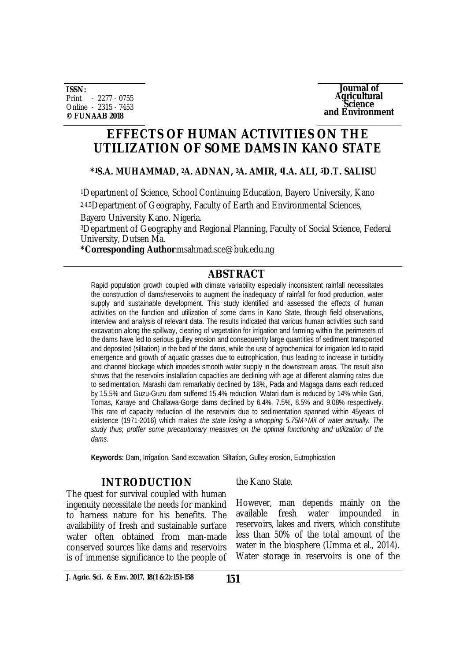**ISSN:** Print - 2277 - 0755 Online - 2315 - 7453 **© FUNAAB 2018**



# **EFFECTS OF HUMAN ACTIVITIES ON THE UTILIZATION OF SOME DAMS IN KANO STATE**

#### **\*1S.A. MUHAMMAD, 2A. ADNAN, 3A. AMIR, 4I.A. ALI, 5D.T. SALISU**

<sup>1</sup>Department of Science, School Continuing Education, Bayero University, Kano 2,4,5Department of Geography, Faculty of Earth and Environmental Sciences,

Bayero University Kano. Nigeria.

<sup>3</sup>Department of Geography and Regional Planning, Faculty of Social Science, Federal University, Dutsen Ma.

**\*Corresponding Author**[:msahmad.sce@buk.edu.ng](mailto::msahmad.sce@buk.edu.ng) 

# **ABSTRACT**

Rapid population growth coupled with climate variability especially inconsistent rainfall necessitates the construction of dams/reservoirs to augment the inadequacy of rainfall for food production, water supply and sustainable development. This study identified and assessed the effects of human activities on the function and utilization of some dams in Kano State, through field observations, interview and analysis of relevant data. The results indicated that various human activities such sand excavation along the spillway, clearing of vegetation for irrigation and farming within the perimeters of the dams have led to serious gulley erosion and consequently large quantities of sediment transported and deposited (siltation) in the bed of the dams, while the use of agrochemical for irrigation led to rapid emergence and growth of aquatic grasses due to eutrophication, thus leading to increase in turbidity and channel blockage which impedes smooth water supply in the downstream areas. The result also shows that the reservoirs installation capacities are declining with age at different alarming rates due to sedimentation. Marashi dam remarkably declined by 18%, Pada and Magaga dams each reduced by 15.5% and Guzu-Guzu dam suffered 15.4% reduction. Watari dam is reduced by 14% while Gari, Tomas, Karaye and Challawa-Gorge dams declined by 6.4%, 7.5%, 8.5% and 9.08% respectively. This rate of capacity reduction of the reservoirs due to sedimentation spanned within 45years of existence (1971-2016) which makes *the state losing a whopping 5.75M3 Mil of water annually. The study thus; proffer some precautionary measures on the optimal functioning and utilization of the dams.*

**Keywords:** Dam, Irrigation, Sand excavation, Siltation, Gulley erosion, Eutrophication

# **INTRODUCTION**

The quest for survival coupled with human ingenuity necessitate the needs for mankind to harness nature for his benefits. The availability of fresh and sustainable surface water often obtained from man-made conserved sources like dams and reservoirs is of immense significance to the people of

the Kano State.

However, man depends mainly on the available fresh water impounded in reservoirs, lakes and rivers, which constitute less than 50% of the total amount of the water in the biosphere (Umma et al., 2014). Water storage in reservoirs is one of the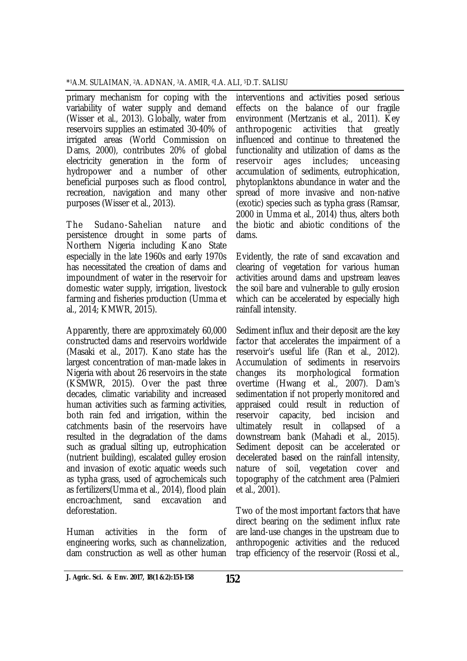primary mechanism for coping with the variability of water supply and demand (Wisser et al., 2013). Globally, water from reservoirs supplies an estimated 30-40% of irrigated areas (World Commission on Dams, 2000), contributes 20% of global electricity generation in the form of hydropower and a number of other beneficial purposes such as flood control, recreation, navigation and many other purposes (Wisser et al., 2013).

The Sudano-Sahelian nature and persistence drought in some parts of Northern Nigeria including Kano State especially in the late 1960s and early 1970s has necessitated the creation of dams and impoundment of water in the reservoir for domestic water supply, irrigation, livestock farming and fisheries production (Umma et al., 2014; KMWR, 2015).

Apparently, there are approximately 60,000 constructed dams and reservoirs worldwide (Masaki et al., 2017). Kano state has the largest concentration of man-made lakes in Nigeria with about 26 reservoirs in the state (KSMWR, 2015). Over the past three decades, climatic variability and increased human activities such as farming activities, both rain fed and irrigation, within the catchments basin of the reservoirs have resulted in the degradation of the dams such as gradual silting up, eutrophication (nutrient building), escalated gulley erosion and invasion of exotic aquatic weeds such as typha grass, used of agrochemicals such as fertilizers(Umma et al., 2014), flood plain encroachment, sand excavation and deforestation.

Human activities in the form of engineering works, such as channelization, dam construction as well as other human

interventions and activities posed serious effects on the balance of our fragile environment (Mertzanis et al., 2011). Key anthropogenic activities that greatly influenced and continue to threatened the functionality and utilization of dams as the reservoir ages includes; unceasing accumulation of sediments, eutrophication, phytoplanktons abundance in water and the spread of more invasive and non-native (exotic) species such as typha grass (Ramsar, 2000 in Umma et al., 2014) thus, alters both the biotic and abiotic conditions of the dams.

Evidently, the rate of sand excavation and clearing of vegetation for various human activities around dams and upstream leaves the soil bare and vulnerable to gully erosion which can be accelerated by especially high rainfall intensity.

Sediment influx and their deposit are the key factor that accelerates the impairment of a reservoir's useful life (Ran et al., 2012). Accumulation of sediments in reservoirs changes its morphological formation overtime (Hwang et al., 2007). Dam's sedimentation if not properly monitored and appraised could result in reduction of reservoir capacity, bed incision and ultimately result in collapsed of a downstream bank (Mahadi et al., 2015). Sediment deposit can be accelerated or decelerated based on the rainfall intensity, nature of soil, vegetation cover and topography of the catchment area (Palmieri et al., 2001).

Two of the most important factors that have direct bearing on the sediment influx rate are land-use changes in the upstream due to anthropogenic activities and the reduced trap efficiency of the reservoir (Rossi et al.,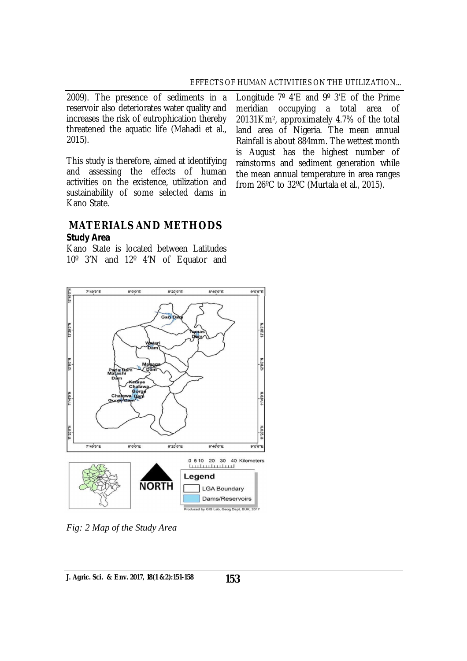2009). The presence of sediments in a reservoir also deteriorates water quality and increases the risk of eutrophication thereby threatened the aquatic life (Mahadi et al., 2015).

This study is therefore, aimed at identifying and assessing the effects of human activities on the existence, utilization and sustainability of some selected dams in Kano State.

Longitude 7º 4'E and 9º 3'E of the Prime meridian occupying a total area of 20131Km2, approximately 4.7% of the total land area of Nigeria. The mean annual Rainfall is about 884mm. The wettest month is August has the highest number of rainstorms and sediment generation while the mean annual temperature in area ranges from 26ºC to 32ºC (Murtala et al., 2015).

# **MATERIALS AND METHODS**

#### *Study Area*

Kano State is located between Latitudes 10º 3'N and 12º 4'N of Equator and



*Fig: 2 Map of the Study Area*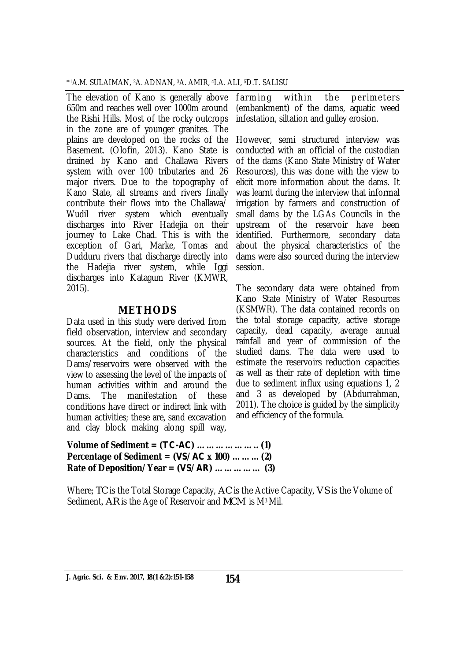\* <sup>1</sup>A.M. SULAIMAN, 2A. ADNAN, 3A. AMIR, 4I.A. ALI, 5D.T. SALISU

The elevation of Kano is generally above farming 650m and reaches well over 1000m around the Rishi Hills. Most of the rocky outcrops in the zone are of younger granites. The plains are developed on the rocks of the Basement. (Olofin, 2013). Kano State is drained by Kano and Challawa Rivers system with over 100 tributaries and 26 major rivers. Due to the topography of Kano State, all streams and rivers finally contribute their flows into the Challawa/ Wudil river system which eventually discharges into River Hadejia on their journey to Lake Chad. This is with the exception of Gari, Marke, Tomas and Dudduru rivers that discharge directly into the Hadejia river system, while Iggi discharges into Katagum River (KMWR, 2015).

## **METHODS**

Data used in this study were derived from field observation, interview and secondary sources. At the field, only the physical characteristics and conditions of the Dams/reservoirs were observed with the view to assessing the level of the impacts of human activities within and around the Dams. The manifestation of these conditions have direct or indirect link with human activities; these are, sand excavation and clay block making along spill way,

**Volume of Sediment = (***TC-AC***) ……………….. (1) Percentage of Sediment = (***VS/AC* **x 100) ……... (2) Rate of Deposition/Year = (***VS/AR***) …………… (3)** 

Where; *TC* is the Total Storage Capacity, *AC* is the Active Capacity, *VS* is the Volume of Sediment, *AR* is the Age of Reservoir and *MCM* is M3 Mil.

within the perimeters (embankment) of the dams, aquatic weed infestation, siltation and gulley erosion.

However, semi structured interview was conducted with an official of the custodian of the dams (Kano State Ministry of Water Resources), this was done with the view to elicit more information about the dams. It was learnt during the interview that informal irrigation by farmers and construction of small dams by the LGAs Councils in the upstream of the reservoir have been identified. Furthermore, secondary data about the physical characteristics of the dams were also sourced during the interview session.

The secondary data were obtained from Kano State Ministry of Water Resources (KSMWR). The data contained records on the total storage capacity, active storage capacity, dead capacity, average annual rainfall and year of commission of the studied dams. The data were used to estimate the reservoirs reduction capacities as well as their rate of depletion with time due to sediment influx using equations 1, 2 and 3 as developed by (Abdurrahman, 2011). The choice is guided by the simplicity and efficiency of the formula.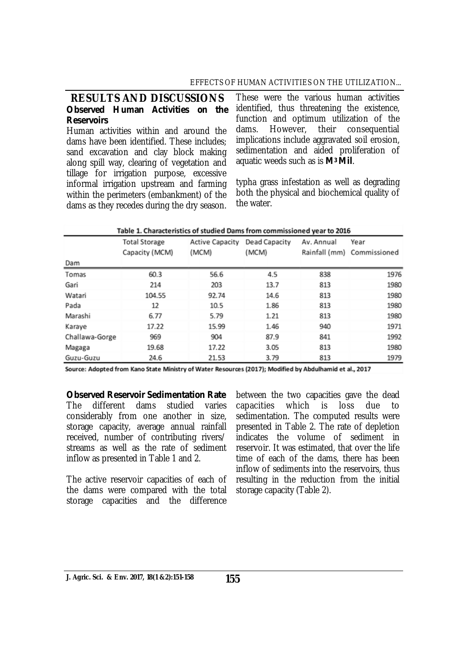### EFFECTS OF HUMAN ACTIVITIES ON THE UTILIZATION...

#### **RESULTS AND DISCUSSIONS**  *Observed Human Activities on the Reservoirs*

Human activities within and around the dams have been identified. These includes; sand excavation and clay block making along spill way, clearing of vegetation and tillage for irrigation purpose, excessive informal irrigation upstream and farming within the perimeters (embankment) of the dams as they recedes during the dry season.

These were the various human activities identified, thus threatening the existence, function and optimum utilization of the<br>dams. However, their consequential dams. However, their consequential implications include aggravated soil erosion, sedimentation and aided proliferation of aquatic weeds such as is *M3 Mil*.

typha grass infestation as well as degrading both the physical and biochemical quality of the water.

| Table 1. Characteristics of studied Dams from commissioned year to 2016 |                                        |                                               |       |            |                                    |  |  |  |  |
|-------------------------------------------------------------------------|----------------------------------------|-----------------------------------------------|-------|------------|------------------------------------|--|--|--|--|
|                                                                         | <b>Total Storage</b><br>Capacity (MCM) | <b>Active Capacity Dead Capacity</b><br>(MCM) | (MCM) | Av. Annual | Year<br>Rainfall (mm) Commissioned |  |  |  |  |
| Dam                                                                     |                                        |                                               |       |            |                                    |  |  |  |  |
| Tomas                                                                   | 60.3                                   | 56.6                                          | 4.5   | 838        | 1976                               |  |  |  |  |
| Gari                                                                    | 214                                    | 203                                           | 13.7  | 813        | 1980                               |  |  |  |  |
| Watari                                                                  | 104.55                                 | 92.74                                         | 14.6  | 813        | 1980                               |  |  |  |  |
| Pada                                                                    | 12                                     | 10.5                                          | 1.86  | 813        | 1980                               |  |  |  |  |
| Marashi                                                                 | 6.77                                   | 5.79                                          | 1.21  | 813        | 1980                               |  |  |  |  |
| Karaye                                                                  | 17.22                                  | 15.99                                         | 1.46  | 940        | 1971                               |  |  |  |  |
| Challawa-Gorge                                                          | 969                                    | 904                                           | 87.9  | 841        | 1992                               |  |  |  |  |
| Magaga                                                                  | 19.68                                  | 17.22                                         | 3.05  | 813        | 1980                               |  |  |  |  |
| Guzu-Guzu                                                               | 24.6                                   | 21.53                                         | 3.79  | 813        | 1979                               |  |  |  |  |

Source: Adopted from Kano State Ministry of Water Resources (2017); Modified by Abdulhamid et al., 2017

*Observed Reservoir Sedimentation Rate* The different dams studied varies considerably from one another in size, storage capacity, average annual rainfall received, number of contributing rivers/ streams as well as the rate of sediment inflow as presented in Table 1 and 2.

The active reservoir capacities of each of the dams were compared with the total storage capacities and the difference

between the two capacities gave the dead capacities which is loss due to sedimentation. The computed results were presented in Table 2. The rate of depletion indicates the volume of sediment in reservoir. It was estimated, that over the life time of each of the dams, there has been inflow of sediments into the reservoirs, thus resulting in the reduction from the initial storage capacity (Table 2).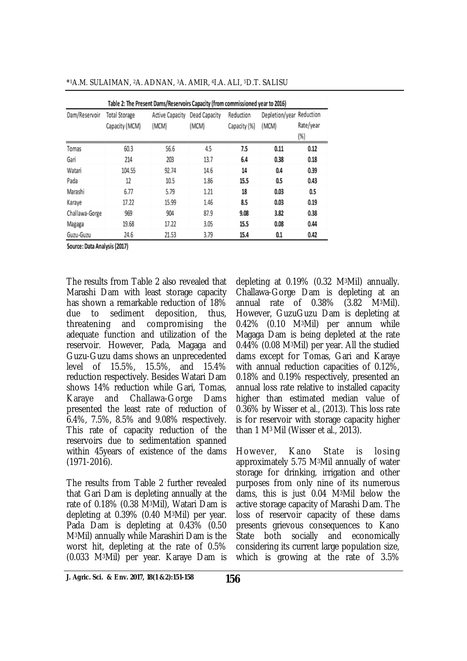| <b>Total Storage</b> |                                 |                        |                           |                                   |                  |
|----------------------|---------------------------------|------------------------|---------------------------|-----------------------------------|------------------|
| Capacity (MCM)       | <b>Active Capacity</b><br>(MCM) | Dead Capacity<br>(MCM) | Reduction<br>Capacity (%) | Depletion/year Reduction<br>(MCM) | Rate/year<br>(%) |
| 60.3                 | 56.6                            | 4.5                    | 7.5                       | 0.11                              | 0.12             |
| 214                  | 203                             | 13.7                   | 6.4                       | 0.38                              | 0.18             |
| 104.55               | 92.74                           | 14.6                   | 14                        | 0.4                               | 0.39             |
| 12                   | 10.5                            | 1.86                   | 15.5                      | 0.5                               | 0.43             |
| 6.77                 | 5.79                            | 1.21                   | 18                        | 0.03                              | 0.5              |
| 17.22                | 15.99                           | 1.46                   | 8.5                       | 0.03                              | 0.19             |
| 969                  | 904                             | 87.9                   | 9.08                      | 3.82                              | 0.38             |
| 19.68                | 17.22                           | 3.05                   | 15.5                      | 0.08                              | 0.44             |
| 24.6                 | 21.53                           | 3.79                   | 15.4                      | 0.1                               | 0.42             |
|                      | Source: Data Analysis (2017)    |                        |                           |                                   |                  |

\* <sup>1</sup>A.M. SULAIMAN, 2A. ADNAN, 3A. AMIR, 4I.A. ALI, 5D.T. SALISU

The results from Table 2 also revealed that Marashi Dam with least storage capacity has shown a remarkable reduction of 18% due to sediment deposition, thus, threatening and compromising the adequate function and utilization of the reservoir. However, Pada, Magaga and Guzu-Guzu dams shows an unprecedented level of 15.5%, 15.5%, and 15.4% reduction respectively. Besides Watari Dam shows 14% reduction while Gari, Tomas, Karaye and Challawa-Gorge Dams presented the least rate of reduction of 6.4%, 7.5%, 8.5% and 9.08% respectively. This rate of capacity reduction of the reservoirs due to sedimentation spanned within 45years of existence of the dams (1971-2016).

The results from Table 2 further revealed that Gari Dam is depleting annually at the rate of 0.18% (0.38 M3Mil), Watari Dam is depleting at 0.39% (0.40 M3Mil) per year. Pada Dam is depleting at 0.43% (0.50 M3Mil) annually while Marashiri Dam is the worst hit, depleting at the rate of 0.5% (0.033 M3Mil) per year. Karaye Dam is

depleting at 0.19% (0.32 M3Mil) annually. Challawa-Gorge Dam is depleting at an annual rate of 0.38% (3.82 M3Mil). However, GuzuGuzu Dam is depleting at 0.42% (0.10 M3Mil) per annum while Magaga Dam is being depleted at the rate 0.44% (0.08 M3Mil) per year. All the studied dams except for Tomas, Gari and Karaye with annual reduction capacities of 0.12%, 0.18% and 0.19% respectively, presented an annual loss rate relative to installed capacity higher than estimated median value of 0.36% by Wisser et al., (2013). This loss rate is for reservoir with storage capacity higher than 1 M3 Mil (Wisser et al., 2013).

However, Kano State is losing approximately 5.75 M3Mil annually of water storage for drinking, irrigation and other purposes from only nine of its numerous dams, this is just 0.04 M3Mil below the active storage capacity of Marashi Dam. The loss of reservoir capacity of these dams presents grievous consequences to Kano State both socially and economically considering its current large population size, which is growing at the rate of 3.5%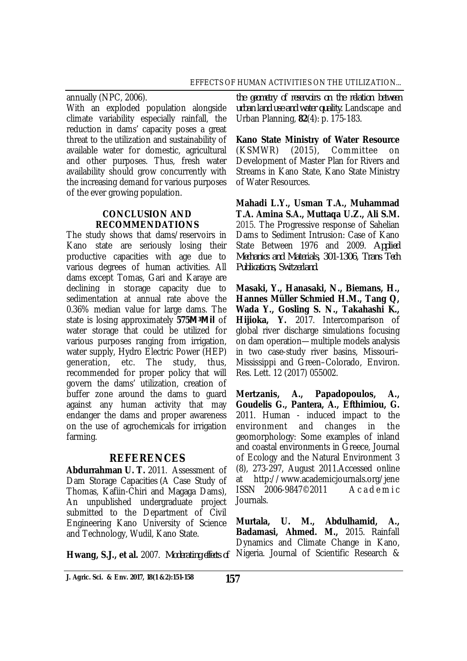annually (NPC, 2006). With an exploded population alongside climate variability especially rainfall, the reduction in dams' capacity poses a great threat to the utilization and sustainability of available water for domestic, agricultural and other purposes. Thus, fresh water availability should grow concurrently with the increasing demand for various purposes of the ever growing population.

### **CONCLUSION AND RECOMMENDATIONS**

The study shows that dams/reservoirs in Kano state are seriously losing their productive capacities with age due to various degrees of human activities. All dams except Tomas, Gari and Karaye are declining in storage capacity due to sedimentation at annual rate above the 0.36% median value for large dams. The state is losing approximately **575***M3Mil* of water storage that could be utilized for various purposes ranging from irrigation, water supply, Hydro Electric Power (HEP) generation, etc. The study, thus, recommended for proper policy that will govern the dams' utilization, creation of buffer zone around the dams to guard against any human activity that may endanger the dams and proper awareness on the use of agrochemicals for irrigation farming.

# **REFERENCES**

**Abdurrahman U. T.** 2011. Assessment of Dam Storage Capacities (A Case Study of Thomas, Kafiin-Chiri and Magaga Dams), An unpublished undergraduate project submitted to the Department of Civil Engineering Kano University of Science and Technology, Wudil, Kano State.

**Hwang, S.J., et al.** 2007. *Moderating effects of* 

*the geometry of reservoirs on the relation between urban land use and water quality.* Landscape and Urban Planning, **82**(4): p. 175-183.

**Kano State Ministry of Water Resource**  (KSMWR) (2015), Committee on Development of Master Plan for Rivers and Streams in Kano State, Kano State Ministry of Water Resources.

**Mahadi L.Y., Usman T.A., Muhammad T.A. Amina S.A., Muttaqa U.Z., Ali S.M.** 2015. The Progressive response of Sahelian Dams to Sediment Intrusion: Case of Kano State Between 1976 and 2009. *Applied Mechanics and Materials, 301-1306, Trans Tech Publications, Switzerland.* 

**Masaki, Y., Hanasaki, N., Biemans, H., Hannes Müller Schmied H.M., Tang Q, Wada Y., Gosling S. N., Takahashi K., Hijioka, Y.** 2017. Intercomparison of global river discharge simulations focusing on dam operation—multiple models analysis in two case-study river basins, Missouri– Mississippi and Green–Colorado, Environ. Res. Lett. 12 (2017) 055002.

**Mertzanis, A., Papadopoulos, A., Goudelis G., Pantera, A., Efthimiou, G.**  2011. Human - induced impact to the environment and changes in the geomorphology: Some examples of inland and coastal environments in Greece, Journal of Ecology and the Natural Environment 3 (8), 273-297, August 2011.Accessed online at <http://www.academicjournals.org/jene> ISSN 2006-9847©2011 A c a d e m i c Journals.

**Murtala, U. M., Abdulhamid, A., Badamasi, Ahmed. M.,** 2015. Rainfall Dynamics and Climate Change in Kano, Nigeria. Journal of Scientific Research &